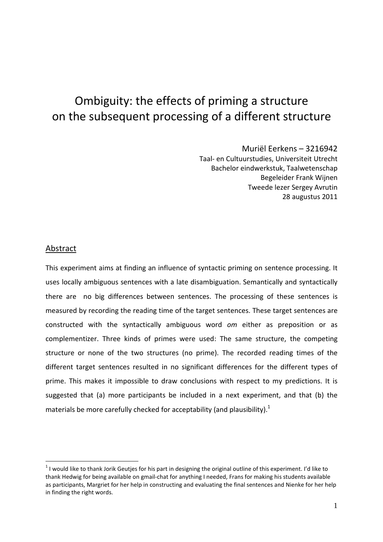# Ombiguity: the effects of priming a structure on the subsequent processing of a different structure

Muriël Eerkens – 3216942 Taal- en Cultuurstudies, Universiteit Utrecht Bachelor eindwerkstuk, Taalwetenschap Begeleider Frank Wijnen Tweede lezer Sergey Avrutin 28 augustus 2011

#### Abstract

 $\overline{a}$ 

This experiment aims at finding an influence of syntactic priming on sentence processing. It uses locally ambiguous sentences with a late disambiguation. Semantically and syntactically there are no big differences between sentences. The processing of these sentences is measured by recording the reading time of the target sentences. These target sentences are constructed with the syntactically ambiguous word *om* either as preposition or as complementizer. Three kinds of primes were used: The same structure, the competing structure or none of the two structures (no prime). The recorded reading times of the different target sentences resulted in no significant differences for the different types of prime. This makes it impossible to draw conclusions with respect to my predictions. It is suggested that (a) more participants be included in a next experiment, and that (b) the materials be more carefully checked for acceptability (and plausibility).<sup>1</sup>

 $1$  I would like to thank Jorik Geutjes for his part in designing the original outline of this experiment. I'd like to thank Hedwig for being available on gmail-chat for anything I needed, Frans for making his students available as participants, Margriet for her help in constructing and evaluating the final sentences and Nienke for her help in finding the right words.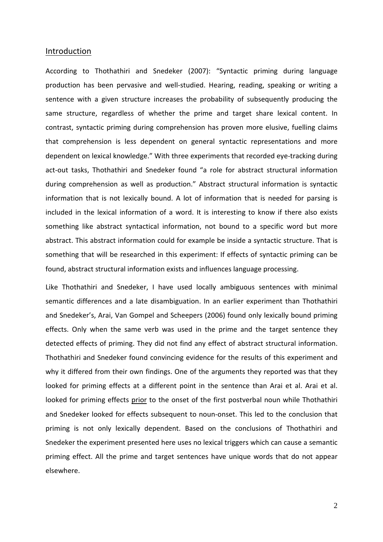#### Introduction

According to Thothathiri and Snedeker (2007): "Syntactic priming during language production has been pervasive and well-studied. Hearing, reading, speaking or writing a sentence with a given structure increases the probability of subsequently producing the same structure, regardless of whether the prime and target share lexical content. In contrast, syntactic priming during comprehension has proven more elusive, fuelling claims that comprehension is less dependent on general syntactic representations and more dependent on lexical knowledge." With three experiments that recorded eye-tracking during act-out tasks, Thothathiri and Snedeker found "a role for abstract structural information during comprehension as well as production." Abstract structural information is syntactic information that is not lexically bound. A lot of information that is needed for parsing is included in the lexical information of a word. It is interesting to know if there also exists something like abstract syntactical information, not bound to a specific word but more abstract. This abstract information could for example be inside a syntactic structure. That is something that will be researched in this experiment: If effects of syntactic priming can be found, abstract structural information exists and influences language processing.

Like Thothathiri and Snedeker, I have used locally ambiguous sentences with minimal semantic differences and a late disambiguation. In an earlier experiment than Thothathiri and Snedeker's, Arai, Van Gompel and Scheepers (2006) found only lexically bound priming effects. Only when the same verb was used in the prime and the target sentence they detected effects of priming. They did not find any effect of abstract structural information. Thothathiri and Snedeker found convincing evidence for the results of this experiment and why it differed from their own findings. One of the arguments they reported was that they looked for priming effects at a different point in the sentence than Arai et al. Arai et al. looked for priming effects prior to the onset of the first postverbal noun while Thothathiri and Snedeker looked for effects subsequent to noun-onset. This led to the conclusion that priming is not only lexically dependent. Based on the conclusions of Thothathiri and Snedeker the experiment presented here uses no lexical triggers which can cause a semantic priming effect. All the prime and target sentences have unique words that do not appear elsewhere.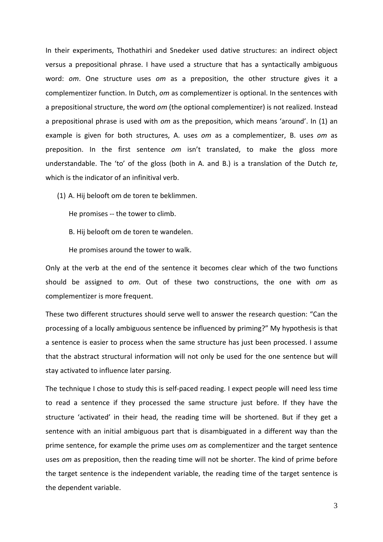In their experiments, Thothathiri and Snedeker used dative structures: an indirect object versus a prepositional phrase. I have used a structure that has a syntactically ambiguous word: *om*. One structure uses *om* as a preposition, the other structure gives it a complementizer function. In Dutch, *om* as complementizer is optional. In the sentences with a prepositional structure, the word *om* (the optional complementizer) is not realized. Instead a prepositional phrase is used with *om* as the preposition, which means 'around'. In (1) an example is given for both structures, A. uses *om* as a complementizer, B. uses *om* as preposition. In the first sentence *om* isn't translated, to make the gloss more understandable. The 'to' of the gloss (both in A. and B.) is a translation of the Dutch *te*, which is the indicator of an infinitival verb.

(1) A. Hij belooft om de toren te beklimmen.

He promises -- the tower to climb.

B. Hij belooft om de toren te wandelen.

He promises around the tower to walk.

Only at the verb at the end of the sentence it becomes clear which of the two functions should be assigned to *om*. Out of these two constructions, the one with *om* as complementizer is more frequent.

These two different structures should serve well to answer the research question: "Can the processing of a locally ambiguous sentence be influenced by priming?" My hypothesis is that a sentence is easier to process when the same structure has just been processed. I assume that the abstract structural information will not only be used for the one sentence but will stay activated to influence later parsing.

The technique I chose to study this is self-paced reading. I expect people will need less time to read a sentence if they processed the same structure just before. If they have the structure 'activated' in their head, the reading time will be shortened. But if they get a sentence with an initial ambiguous part that is disambiguated in a different way than the prime sentence, for example the prime uses *om* as complementizer and the target sentence uses *om* as preposition, then the reading time will not be shorter. The kind of prime before the target sentence is the independent variable, the reading time of the target sentence is the dependent variable.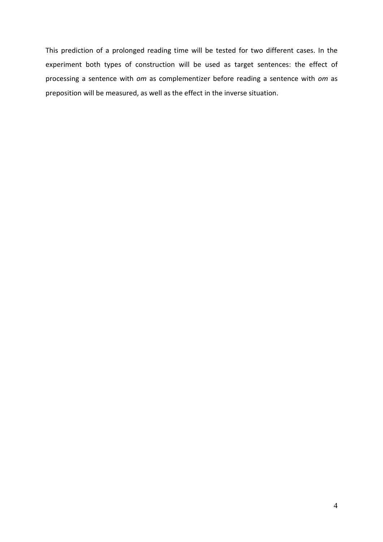This prediction of a prolonged reading time will be tested for two different cases. In the experiment both types of construction will be used as target sentences: the effect of processing a sentence with *om* as complementizer before reading a sentence with *om* as preposition will be measured, as well as the effect in the inverse situation.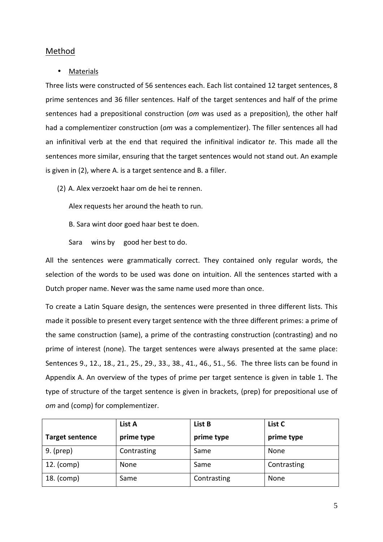# Method

# **Materials**

Three lists were constructed of 56 sentences each. Each list contained 12 target sentences, 8 prime sentences and 36 filler sentences. Half of the target sentences and half of the prime sentences had a prepositional construction (*om* was used as a preposition), the other half had a complementizer construction (*om* was a complementizer). The filler sentences all had an infinitival verb at the end that required the infinitival indicator *te*. This made all the sentences more similar, ensuring that the target sentences would not stand out. An example is given in (2), where A. is a target sentence and B. a filler.

(2) A. Alex verzoekt haar om de hei te rennen.

Alex requests her around the heath to run.

B. Sara wint door goed haar best te doen.

Sara wins by good her best to do.

All the sentences were grammatically correct. They contained only regular words, the selection of the words to be used was done on intuition. All the sentences started with a Dutch proper name. Never was the same name used more than once.

To create a Latin Square design, the sentences were presented in three different lists. This made it possible to present every target sentence with the three different primes: a prime of the same construction (same), a prime of the contrasting construction (contrasting) and no prime of interest (none). The target sentences were always presented at the same place: Sentences 9., 12., 18., 21., 25., 29., 33., 38., 41., 46., 51., 56. The three lists can be found in Appendix A. An overview of the types of prime per target sentence is given in table 1. The type of structure of the target sentence is given in brackets, (prep) for prepositional use of *om* and (comp) for complementizer.

|                        | List A      | List B      | List C      |
|------------------------|-------------|-------------|-------------|
| <b>Target sentence</b> | prime type  | prime type  | prime type  |
| $9.$ (prep)            | Contrasting | Same        | None        |
| 12. (comp)             | None        | Same        | Contrasting |
| 18. (comp)             | Same        | Contrasting | None        |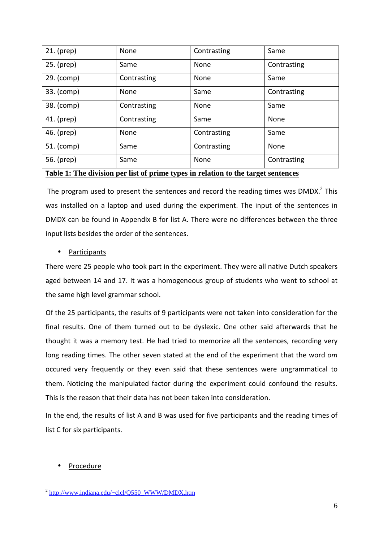| $21.$ (prep) | None        | Contrasting | Same        |
|--------------|-------------|-------------|-------------|
| 25. (prep)   | Same        | None        | Contrasting |
| 29. (comp)   | Contrasting | None        | Same        |
| 33. (comp)   | None        | Same        | Contrasting |
| 38. (comp)   | Contrasting | None        | Same        |
| 41. (prep)   | Contrasting | Same        | None        |
| 46. (prep)   | None        | Contrasting | Same        |
| 51. (comp)   | Same        | Contrasting | None        |
| 56. (prep)   | Same        | None        | Contrasting |

## **Table 1: The division per list of prime types in relation to the target sentences**

The program used to present the sentences and record the reading times was  $DMDX<sup>2</sup>$  This was installed on a laptop and used during the experiment. The input of the sentences in DMDX can be found in Appendix B for list A. There were no differences between the three input lists besides the order of the sentences.

## • Participants

There were 25 people who took part in the experiment. They were all native Dutch speakers aged between 14 and 17. It was a homogeneous group of students who went to school at the same high level grammar school.

Of the 25 participants, the results of 9 participants were not taken into consideration for the final results. One of them turned out to be dyslexic. One other said afterwards that he thought it was a memory test. He had tried to memorize all the sentences, recording very long reading times. The other seven stated at the end of the experiment that the word *om* occured very frequently or they even said that these sentences were ungrammatical to them. Noticing the manipulated factor during the experiment could confound the results. This is the reason that their data has not been taken into consideration.

In the end, the results of list A and B was used for five participants and the reading times of list C for six participants.

# **Procedure**

<sup>&</sup>lt;sup>2</sup> http://www.indiana.edu/~clcl/Q550\_WWW/DMDX.htm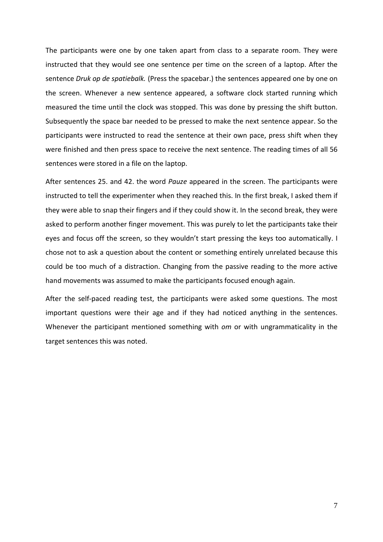The participants were one by one taken apart from class to a separate room. They were instructed that they would see one sentence per time on the screen of a laptop. After the sentence *Druk op de spatiebalk.* (Press the spacebar.) the sentences appeared one by one on the screen. Whenever a new sentence appeared, a software clock started running which measured the time until the clock was stopped. This was done by pressing the shift button. Subsequently the space bar needed to be pressed to make the next sentence appear. So the participants were instructed to read the sentence at their own pace, press shift when they were finished and then press space to receive the next sentence. The reading times of all 56 sentences were stored in a file on the laptop.

After sentences 25. and 42. the word *Pauze* appeared in the screen. The participants were instructed to tell the experimenter when they reached this. In the first break, I asked them if they were able to snap their fingers and if they could show it. In the second break, they were asked to perform another finger movement. This was purely to let the participants take their eyes and focus off the screen, so they wouldn't start pressing the keys too automatically. I chose not to ask a question about the content or something entirely unrelated because this could be too much of a distraction. Changing from the passive reading to the more active hand movements was assumed to make the participants focused enough again.

After the self-paced reading test, the participants were asked some questions. The most important questions were their age and if they had noticed anything in the sentences. Whenever the participant mentioned something with *om* or with ungrammaticality in the target sentences this was noted.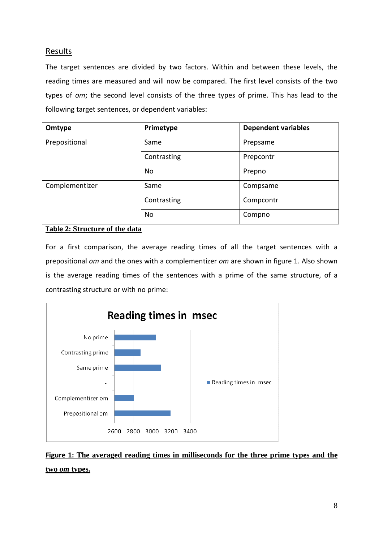# **Results**

The target sentences are divided by two factors. Within and between these levels, the reading times are measured and will now be compared. The first level consists of the two types of *om*; the second level consists of the three types of prime. This has lead to the following target sentences, or dependent variables:

| Omtype         | Primetype   | <b>Dependent variables</b> |
|----------------|-------------|----------------------------|
| Prepositional  | Same        | Prepsame                   |
|                | Contrasting | Prepcontr                  |
|                | No          | Prepno                     |
| Complementizer | Same        | Compsame                   |
|                | Contrasting | Compcontr                  |
|                | No          | Compno                     |

# **Table 2: Structure of the data**

For a first comparison, the average reading times of all the target sentences with a prepositional *om* and the ones with a complementizer *om* are shown in figure 1. Also shown is the average reading times of the sentences with a prime of the same structure, of a contrasting structure or with no prime:



**Figure 1: The averaged reading times in milliseconds for the three prime types and the two** *om* **types.**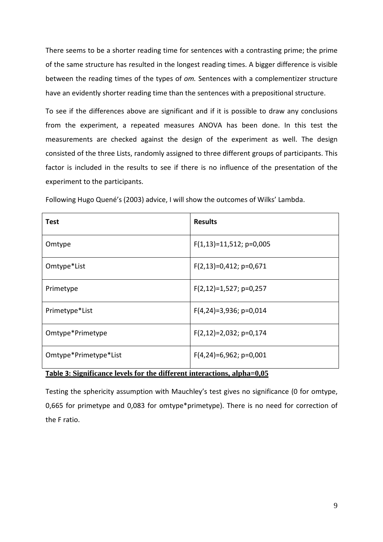There seems to be a shorter reading time for sentences with a contrasting prime; the prime of the same structure has resulted in the longest reading times. A bigger difference is visible between the reading times of the types of *om.* Sentences with a complementizer structure have an evidently shorter reading time than the sentences with a prepositional structure.

To see if the differences above are significant and if it is possible to draw any conclusions from the experiment, a repeated measures ANOVA has been done. In this test the measurements are checked against the design of the experiment as well. The design consisted of the three Lists, randomly assigned to three different groups of participants. This factor is included in the results to see if there is no influence of the presentation of the experiment to the participants.

| <b>Test</b>                                                             | <b>Results</b>            |  |
|-------------------------------------------------------------------------|---------------------------|--|
| Omtype                                                                  | $F(1,13)=11,512; p=0,005$ |  |
| Omtype*List                                                             | $F(2,13)=0,412; p=0,671$  |  |
| Primetype                                                               | $F(2,12)=1,527; p=0,257$  |  |
| Primetype*List                                                          | $F(4,24)=3,936; p=0,014$  |  |
| Omtype*Primetype                                                        | $F(2,12)=2,032; p=0,174$  |  |
| Omtype*Primetype*List                                                   | $F(4,24)=6,962; p=0,001$  |  |
| Table 3: Significance levels for the different interactions, alpha=0,05 |                           |  |

Following Hugo Quené's (2003) advice, I will show the outcomes of Wilks' Lambda.

Testing the sphericity assumption with Mauchley's test gives no significance (0 for omtype, 0,665 for primetype and 0,083 for omtype\*primetype). There is no need for correction of the F ratio.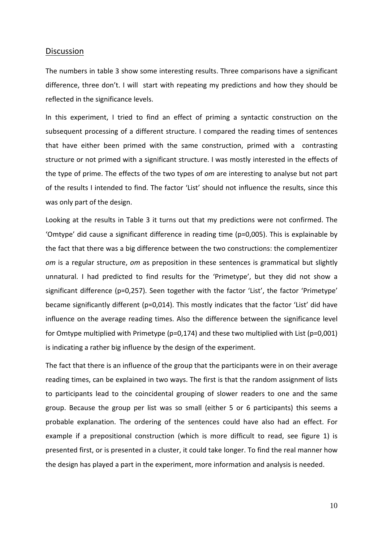#### **Discussion**

The numbers in table 3 show some interesting results. Three comparisons have a significant difference, three don't. I will start with repeating my predictions and how they should be reflected in the significance levels.

In this experiment, I tried to find an effect of priming a syntactic construction on the subsequent processing of a different structure. I compared the reading times of sentences that have either been primed with the same construction, primed with a contrasting structure or not primed with a significant structure. I was mostly interested in the effects of the type of prime. The effects of the two types of *om* are interesting to analyse but not part of the results I intended to find. The factor 'List' should not influence the results, since this was only part of the design.

Looking at the results in Table 3 it turns out that my predictions were not confirmed. The 'Omtype' did cause a significant difference in reading time (p=0,005). This is explainable by the fact that there was a big difference between the two constructions: the complementizer *om* is a regular structure, *om* as preposition in these sentences is grammatical but slightly unnatural. I had predicted to find results for the 'Primetype', but they did not show a significant difference (p=0,257). Seen together with the factor 'List', the factor 'Primetype' became significantly different (p=0,014). This mostly indicates that the factor 'List' did have influence on the average reading times. Also the difference between the significance level for Omtype multiplied with Primetype (p=0,174) and these two multiplied with List (p=0,001) is indicating a rather big influence by the design of the experiment.

The fact that there is an influence of the group that the participants were in on their average reading times, can be explained in two ways. The first is that the random assignment of lists to participants lead to the coincidental grouping of slower readers to one and the same group. Because the group per list was so small (either 5 or 6 participants) this seems a probable explanation. The ordering of the sentences could have also had an effect. For example if a prepositional construction (which is more difficult to read, see figure 1) is presented first, or is presented in a cluster, it could take longer. To find the real manner how the design has played a part in the experiment, more information and analysis is needed.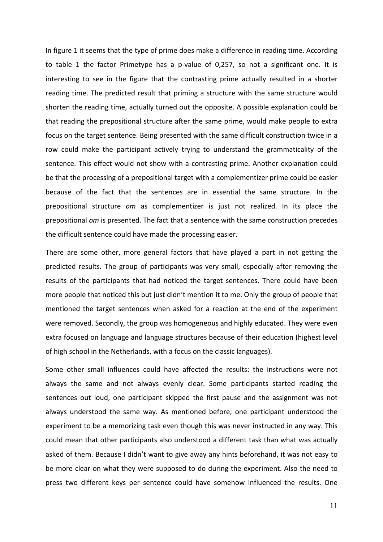In figure 1 it seems that the type of prime does make a difference in reading time. According to table 1 the factor Primetype has a p-value of 0,257, so not a significant one. It is interesting to see in the figure that the contrasting prime actually resulted in a shorter reading time. The predicted result that priming a structure with the same structure would shorten the reading time, actually turned out the opposite. A possible explanation could be that reading the prepositional structure after the same prime, would make people to extra focus on the target sentence. Being presented with the same difficult construction twice in a row could make the participant actively trying to understand the grammaticality of the sentence. This effect would not show with a contrasting prime. Another explanation could be that the processing of a prepositional target with a complementizer prime could be easier because of the fact that the sentences are in essential the same structure. In the prepositional structure *om* as complementizer is just not realized. In its place the prepositional *om* is presented. The fact that a sentence with the same construction precedes the difficult sentence could have made the processing easier.

There are some other, more general factors that have played a part in not getting the predicted results. The group of participants was very small, especially after removing the results of the participants that had noticed the target sentences. There could have been more people that noticed this but just didn't mention it to me. Only the group of people that mentioned the target sentences when asked for a reaction at the end of the experiment were removed. Secondly, the group was homogeneous and highly educated. They were even extra focused on language and language structures because of their education (highest level of high school in the Netherlands, with a focus on the classic languages).

Some other small influences could have affected the results: the instructions were not always the same and not always evenly clear. Some participants started reading the sentences out loud, one participant skipped the first pause and the assignment was not always understood the same way. As mentioned before, one participant understood the experiment to be a memorizing task even though this was never instructed in any way. This could mean that other participants also understood a different task than what was actually asked of them. Because I didn't want to give away any hints beforehand, it was not easy to be more clear on what they were supposed to do during the experiment. Also the need to press two different keys per sentence could have somehow influenced the results. One

11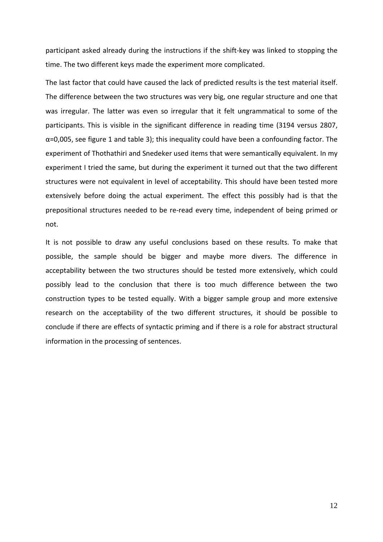participant asked already during the instructions if the shift-key was linked to stopping the time. The two different keys made the experiment more complicated.

The last factor that could have caused the lack of predicted results is the test material itself. The difference between the two structures was very big, one regular structure and one that was irregular. The latter was even so irregular that it felt ungrammatical to some of the participants. This is visible in the significant difference in reading time (3194 versus 2807,  $\alpha$ =0,005, see figure 1 and table 3); this inequality could have been a confounding factor. The experiment of Thothathiri and Snedeker used items that were semantically equivalent. In my experiment I tried the same, but during the experiment it turned out that the two different structures were not equivalent in level of acceptability. This should have been tested more extensively before doing the actual experiment. The effect this possibly had is that the prepositional structures needed to be re-read every time, independent of being primed or not.

It is not possible to draw any useful conclusions based on these results. To make that possible, the sample should be bigger and maybe more divers. The difference in acceptability between the two structures should be tested more extensively, which could possibly lead to the conclusion that there is too much difference between the two construction types to be tested equally. With a bigger sample group and more extensive research on the acceptability of the two different structures, it should be possible to conclude if there are effects of syntactic priming and if there is a role for abstract structural information in the processing of sentences.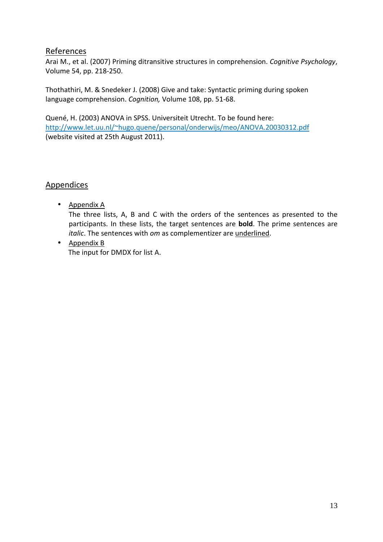# References

Arai M., et al. (2007) Priming ditransitive structures in comprehension. *Cognitive Psychology*, Volume 54, pp. 218-250.

Thothathiri, M. & Snedeker J. (2008) Give and take: Syntactic priming during spoken language comprehension. *Cognition,* Volume 108, pp. 51-68.

Quené, H. (2003) ANOVA in SPSS. Universiteit Utrecht. To be found here: http://www.let.uu.nl/~hugo.quene/personal/onderwijs/meo/ANOVA.20030312.pdf (website visited at 25th August 2011).

# **Appendices**

- Appendix A The three lists, A, B and C with the orders of the sentences as presented to the participants. In these lists, the target sentences are **bold**. The prime sentences are *italic*. The sentences with *om* as complementizer are underlined.
- Appendix B The input for DMDX for list A.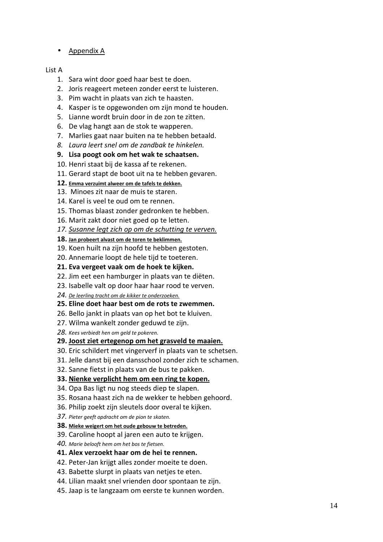• Appendix A

## List A

- 1. Sara wint door goed haar best te doen.
- 2. Joris reageert meteen zonder eerst te luisteren.
- 3. Pim wacht in plaats van zich te haasten.
- 4. Kasper is te opgewonden om zijn mond te houden.
- 5. Lianne wordt bruin door in de zon te zitten.
- 6. De vlag hangt aan de stok te wapperen.
- 7. Marlies gaat naar buiten na te hebben betaald.
- *8. Laura leert snel om de zandbak te hinkelen.*
- **9. Lisa poogt ook om het wak te schaatsen.**
- 10. Henri staat bij de kassa af te rekenen.
- 11. Gerard stapt de boot uit na te hebben gevaren.
- **12. Emma verzuimt alweer om de tafels te dekken.**
- 13. Minoes zit naar de muis te staren.
- 14. Karel is veel te oud om te rennen.
- 15. Thomas blaast zonder gedronken te hebben.
- 16. Marit zakt door niet goed op te letten.
- *17. Susanne legt zich op om de schutting te verven.*
- **18. Jan probeert alvast om de toren te beklimmen.**
- 19. Koen huilt na zijn hoofd te hebben gestoten.
- 20. Annemarie loopt de hele tijd te toeteren.
- **21. Eva vergeet vaak om de hoek te kijken.**
- 22. Jim eet een hamburger in plaats van te diëten.
- 23. Isabelle valt op door haar haar rood te verven.
- *24. De leerling tracht om de kikker te onderzoeken.*
- **25. Eline doet haar best om de rots te zwemmen.**
- 26. Bello jankt in plaats van op het bot te kluiven.
- 27. Wilma wankelt zonder geduwd te zijn.
- *28. Kees verbiedt hen om geld te pokeren.*

# **29. Joost ziet ertegenop om het grasveld te maaien.**

- 30. Eric schildert met vingerverf in plaats van te schetsen.
- 31. Jelle danst bij een dansschool zonder zich te schamen.
- 32. Sanne fietst in plaats van de bus te pakken.
- **33. Nienke verplicht hem om een ring te kopen.**
- 34. Opa Bas ligt nu nog steeds diep te slapen.
- 35. Rosana haast zich na de wekker te hebben gehoord.
- 36. Philip zoekt zijn sleutels door overal te kijken.
- *37. Pieter geeft opdracht om de pion te skaten.*
- **38. Mieke weigert om het oude gebouw te betreden.**
- 39. Caroline hoopt al jaren een auto te krijgen.
- *40. Marie belooft hem om het bos te fietsen.*
- **41. Alex verzoekt haar om de hei te rennen.**
- 42. Peter-Jan krijgt alles zonder moeite te doen.
- 43. Babette slurpt in plaats van netjes te eten.
- 44. Lilian maakt snel vrienden door spontaan te zijn.
- 45. Jaap is te langzaam om eerste te kunnen worden.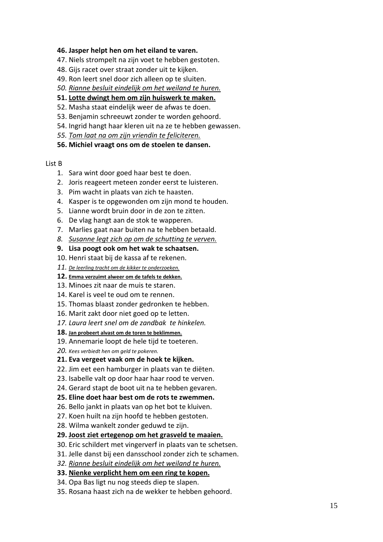#### **46. Jasper helpt hen om het eiland te varen.**

- 47. Niels strompelt na zijn voet te hebben gestoten.
- 48. Gijs racet over straat zonder uit te kijken.
- 49. Ron leert snel door zich alleen op te sluiten.
- *50. Rianne besluit eindelijk om het weiland te huren.*
- **51. Lotte dwingt hem om zijn huiswerk te maken.**
- 52. Masha staat eindelijk weer de afwas te doen.
- 53. Benjamin schreeuwt zonder te worden gehoord.
- 54. Ingrid hangt haar kleren uit na ze te hebben gewassen.
- *55. Tom laat na om zijn vriendin te feliciteren.*
- **56. Michiel vraagt ons om de stoelen te dansen.**

#### List B

- 1. Sara wint door goed haar best te doen.
- 2. Joris reageert meteen zonder eerst te luisteren.
- 3. Pim wacht in plaats van zich te haasten.
- 4. Kasper is te opgewonden om zijn mond te houden.
- 5. Lianne wordt bruin door in de zon te zitten.
- 6. De vlag hangt aan de stok te wapperen.
- 7. Marlies gaat naar buiten na te hebben betaald.
- *8. Susanne legt zich op om de schutting te verven.*
- **9. Lisa poogt ook om het wak te schaatsen.**
- 10. Henri staat bij de kassa af te rekenen.
- *11. De leerling tracht om de kikker te onderzoeken.*
- **12. Emma verzuimt alweer om de tafels te dekken.**
- 13. Minoes zit naar de muis te staren.
- 14. Karel is veel te oud om te rennen.
- 15. Thomas blaast zonder gedronken te hebben.
- 16. Marit zakt door niet goed op te letten.
- *17. Laura leert snel om de zandbak te hinkelen.*
- **18. Jan probeert alvast om de toren te beklimmen.**
- 19. Annemarie loopt de hele tijd te toeteren.
- *20. Kees verbiedt hen om geld te pokeren.*
- **21. Eva vergeet vaak om de hoek te kijken.**
- 22. Jim eet een hamburger in plaats van te diëten.
- 23. Isabelle valt op door haar haar rood te verven.
- 24. Gerard stapt de boot uit na te hebben gevaren.
- **25. Eline doet haar best om de rots te zwemmen.**
- 26. Bello jankt in plaats van op het bot te kluiven.
- 27. Koen huilt na zijn hoofd te hebben gestoten.
- 28. Wilma wankelt zonder geduwd te zijn.

#### **29. Joost ziet ertegenop om het grasveld te maaien.**

- 30. Eric schildert met vingerverf in plaats van te schetsen.
- 31. Jelle danst bij een dansschool zonder zich te schamen.
- *32. Rianne besluit eindelijk om het weiland te huren.*
- **33. Nienke verplicht hem om een ring te kopen.**
- 34. Opa Bas ligt nu nog steeds diep te slapen.
- 35. Rosana haast zich na de wekker te hebben gehoord.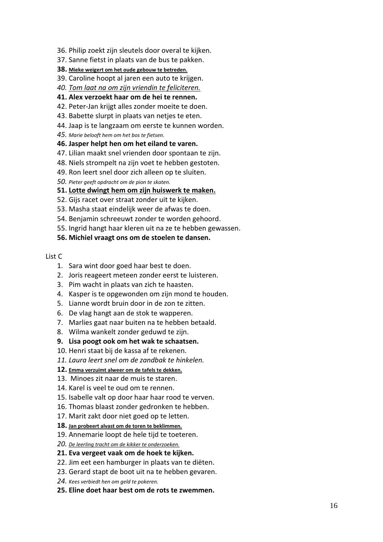- 36. Philip zoekt zijn sleutels door overal te kijken.
- 37. Sanne fietst in plaats van de bus te pakken.
- **38. Mieke weigert om het oude gebouw te betreden.**
- 39. Caroline hoopt al jaren een auto te krijgen.
- *40. Tom laat na om zijn vriendin te feliciteren.*

#### **41. Alex verzoekt haar om de hei te rennen.**

- 42. Peter-Jan krijgt alles zonder moeite te doen.
- 43. Babette slurpt in plaats van netjes te eten.
- 44. Jaap is te langzaam om eerste te kunnen worden.
- *45. Marie belooft hem om het bos te fietsen.*
- **46. Jasper helpt hen om het eiland te varen.**
- 47. Lilian maakt snel vrienden door spontaan te zijn.
- 48. Niels strompelt na zijn voet te hebben gestoten.
- 49. Ron leert snel door zich alleen op te sluiten.
- *50. Pieter geeft opdracht om de pion te skaten.*

#### **51. Lotte dwingt hem om zijn huiswerk te maken.**

- 52. Gijs racet over straat zonder uit te kijken.
- 53. Masha staat eindelijk weer de afwas te doen.
- 54. Benjamin schreeuwt zonder te worden gehoord.
- 55. Ingrid hangt haar kleren uit na ze te hebben gewassen.

#### **56. Michiel vraagt ons om de stoelen te dansen.**

#### List C

- 1. Sara wint door goed haar best te doen.
- 2. Joris reageert meteen zonder eerst te luisteren.
- 3. Pim wacht in plaats van zich te haasten.
- 4. Kasper is te opgewonden om zijn mond te houden.
- 5. Lianne wordt bruin door in de zon te zitten.
- 6. De vlag hangt aan de stok te wapperen.
- 7. Marlies gaat naar buiten na te hebben betaald.
- 8. Wilma wankelt zonder geduwd te zijn.

#### **9. Lisa poogt ook om het wak te schaatsen.**

- 10. Henri staat bij de kassa af te rekenen.
- *11. Laura leert snel om de zandbak te hinkelen.*
- **12. Emma verzuimt alweer om de tafels te dekken.**
- 13. Minoes zit naar de muis te staren.
- 14. Karel is veel te oud om te rennen.
- 15. Isabelle valt op door haar haar rood te verven.
- 16. Thomas blaast zonder gedronken te hebben.
- 17. Marit zakt door niet goed op te letten.
- **18. Jan probeert alvast om de toren te beklimmen.**
- 19. Annemarie loopt de hele tijd te toeteren.
- *20. De leerling tracht om de kikker te onderzoeken.*
- **21. Eva vergeet vaak om de hoek te kijken.**
- 22. Jim eet een hamburger in plaats van te diëten.
- 23. Gerard stapt de boot uit na te hebben gevaren.
- *24. Kees verbiedt hen om geld te pokeren.*
- **25. Eline doet haar best om de rots te zwemmen.**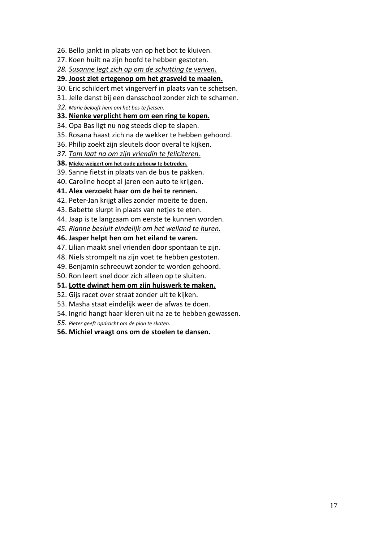- 26. Bello jankt in plaats van op het bot te kluiven.
- 27. Koen huilt na zijn hoofd te hebben gestoten.
- *28. Susanne legt zich op om de schutting te verven.*
- **29. Joost ziet ertegenop om het grasveld te maaien.**
- 30. Eric schildert met vingerverf in plaats van te schetsen.
- 31. Jelle danst bij een dansschool zonder zich te schamen.
- *32. Marie belooft hem om het bos te fietsen.*
- **33. Nienke verplicht hem om een ring te kopen.**
- 34. Opa Bas ligt nu nog steeds diep te slapen.
- 35. Rosana haast zich na de wekker te hebben gehoord.
- 36. Philip zoekt zijn sleutels door overal te kijken.
- *37. Tom laat na om zijn vriendin te feliciteren.*
- **38. Mieke weigert om het oude gebouw te betreden.**
- 39. Sanne fietst in plaats van de bus te pakken.
- 40. Caroline hoopt al jaren een auto te krijgen.
- **41. Alex verzoekt haar om de hei te rennen.**
- 42. Peter-Jan krijgt alles zonder moeite te doen.
- 43. Babette slurpt in plaats van netjes te eten.
- 44. Jaap is te langzaam om eerste te kunnen worden.
- *45. Rianne besluit eindelijk om het weiland te huren.*
- **46. Jasper helpt hen om het eiland te varen.**
- 47. Lilian maakt snel vrienden door spontaan te zijn.
- 48. Niels strompelt na zijn voet te hebben gestoten.
- 49. Benjamin schreeuwt zonder te worden gehoord.
- 50. Ron leert snel door zich alleen op te sluiten.
- **51. Lotte dwingt hem om zijn huiswerk te maken.**
- 52. Gijs racet over straat zonder uit te kijken.
- 53. Masha staat eindelijk weer de afwas te doen.
- 54. Ingrid hangt haar kleren uit na ze te hebben gewassen.
- *55. Pieter geeft opdracht om de pion te skaten.*
- **56. Michiel vraagt ons om de stoelen te dansen.**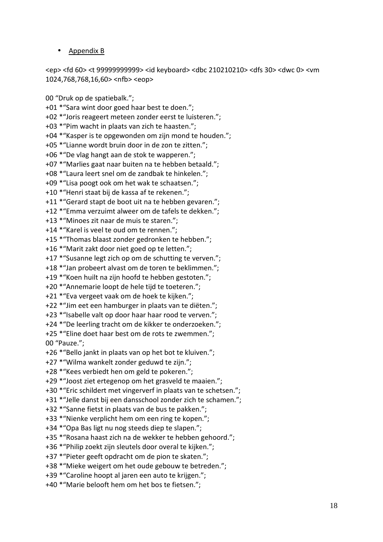## • Appendix B

<ep> <fd 60> <t 99999999999> <id keyboard> <dbc 210210210> <dfs 30> <dwc 0> <vm 1024,768,768,16,60> <nfb> <eop>

00 "Druk op de spatiebalk."; +01 \*"Sara wint door goed haar best te doen."; +02 \*"Joris reageert meteen zonder eerst te luisteren."; +03 \*"Pim wacht in plaats van zich te haasten."; +04 \*"Kasper is te opgewonden om zijn mond te houden."; +05 \*"Lianne wordt bruin door in de zon te zitten."; +06 \*"De vlag hangt aan de stok te wapperen."; +07 \*"Marlies gaat naar buiten na te hebben betaald."; +08 \*"Laura leert snel om de zandbak te hinkelen."; +09 \*"Lisa poogt ook om het wak te schaatsen."; +10 \*"Henri staat bij de kassa af te rekenen."; +11 \*"Gerard stapt de boot uit na te hebben gevaren."; +12 \*"Emma verzuimt alweer om de tafels te dekken."; +13 \*"Minoes zit naar de muis te staren."; +14 \*"Karel is veel te oud om te rennen."; +15 \*"Thomas blaast zonder gedronken te hebben."; +16 \*"Marit zakt door niet goed op te letten."; +17 \*"Susanne legt zich op om de schutting te verven."; +18 \*"Jan probeert alvast om de toren te beklimmen."; +19 \*"Koen huilt na zijn hoofd te hebben gestoten."; +20 \*"Annemarie loopt de hele tijd te toeteren."; +21 \*"Eva vergeet vaak om de hoek te kijken."; +22 \*"Jim eet een hamburger in plaats van te diëten."; +23 \*"Isabelle valt op door haar haar rood te verven."; +24 \*"De leerling tracht om de kikker te onderzoeken."; +25 \*"Eline doet haar best om de rots te zwemmen."; 00 "Pauze."; +26 \*"Bello jankt in plaats van op het bot te kluiven."; +27 \*"Wilma wankelt zonder geduwd te zijn."; +28 \*"Kees verbiedt hen om geld te pokeren."; +29 \*"Joost ziet ertegenop om het grasveld te maaien."; +30 \*"Eric schildert met vingerverf in plaats van te schetsen."; +31 \*"Jelle danst bij een dansschool zonder zich te schamen."; +32 \*"Sanne fietst in plaats van de bus te pakken."; +33 \*"Nienke verplicht hem om een ring te kopen."; +34 \*"Opa Bas ligt nu nog steeds diep te slapen."; +35 \*"Rosana haast zich na de wekker te hebben gehoord."; +36 \*"Philip zoekt zijn sleutels door overal te kijken."; +37 \*"Pieter geeft opdracht om de pion te skaten."; +38 \*"Mieke weigert om het oude gebouw te betreden."; +39 \*"Caroline hoopt al jaren een auto te krijgen."; +40 \*"Marie belooft hem om het bos te fietsen.";